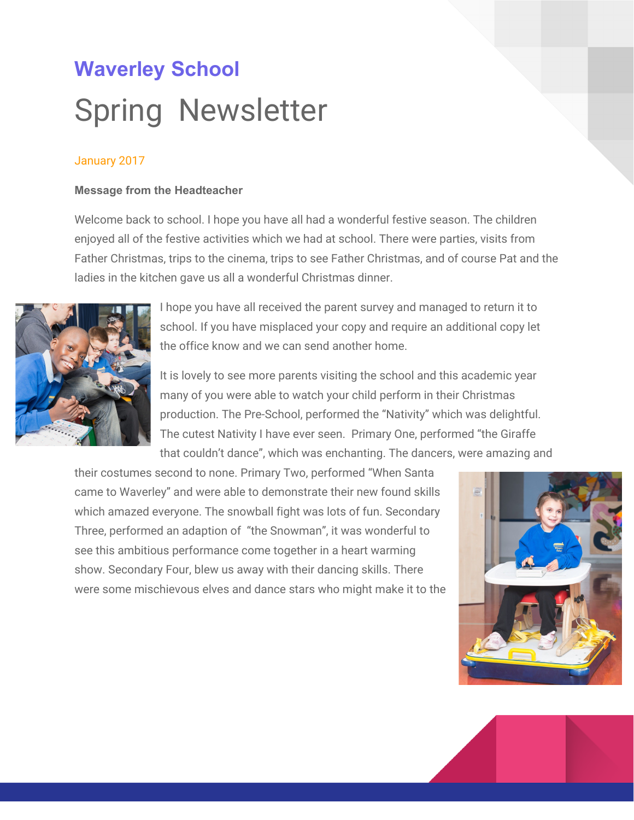# **Waverley School** Spring Newsletter

# January 2017

#### **Message from the Headteacher**

Welcome back to school. I hope you have all had a wonderful festive season. The children enjoyed all of the festive activities which we had at school. There were parties, visits from Father Christmas, trips to the cinema, trips to see Father Christmas, and of course Pat and the ladies in the kitchen gave us all a wonderful Christmas dinner.



I hope you have all received the parent survey and managed to return it to school. If you have misplaced your copy and require an additional copy let the office know and we can send another home.

It is lovely to see more parents visiting the school and this academic year many of you were able to watch your child perform in their Christmas production. The Pre-School, performed the "Nativity" which was delightful. The cutest Nativity I have ever seen. Primary One, performed "the Giraffe that couldn't dance", which was enchanting. The dancers, were amazing and

their costumes second to none. Primary Two, performed "When Santa came to Waverley" and were able to demonstrate their new found skills which amazed everyone. The snowball fight was lots of fun. Secondary Three, performed an adaption of "the Snowman", it was wonderful to see this ambitious performance come together in a heart warming show. Secondary Four, blew us away with their dancing skills. There were some mischievous elves and dance stars who might make it to the



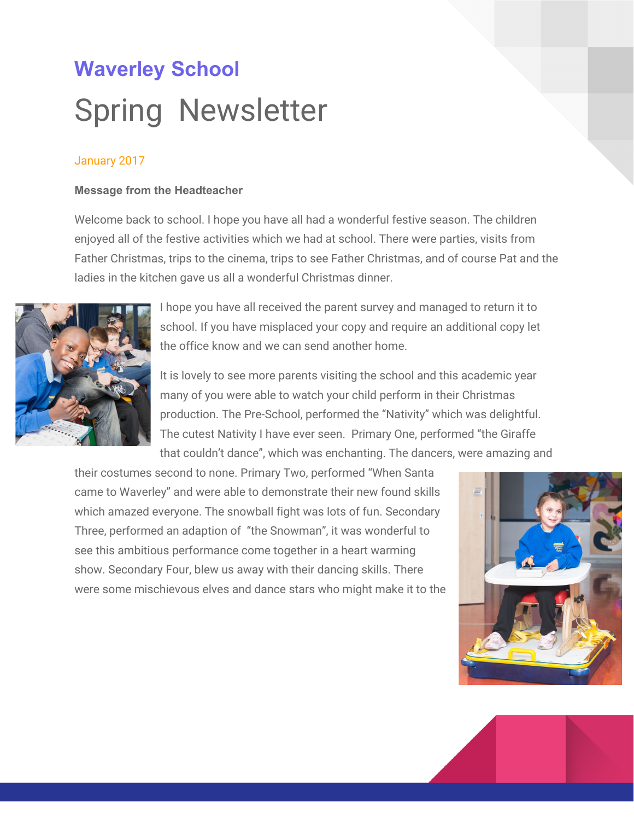big screen. If you didn't manage to see your child in their show make sure you come next year.



Last term we were visited by Kyle Walker, the England football player. He created quite a stir with students and staff alike. Tottenham Hotspur are supporting Noah's Ark Hospice which some of our students attend. Kyle wanted to wish the children a Happy Christmas and join in our Christmas fun. He played a game of bottom football with us.

In November we were also visited by the Head of Unison, David Presention. David, was so impressed with our staff that he commissioned an article about Waverley School . See the website under latest news for the article which includes some wonderful photos.



Your teacher will be in touch this term to invite you to a session. These sessions are designed to help you familiarise yourself with your child's targets and we will help you think of ways of implementing some of the strategies at home.

As you may have heard through the media, the school are currently facing financial uncertainties along with most areas of the Local Authority. We will endeavour to support the students despite shrinking budgets and rising costs and will inform you of any significant cuts which may need to be made.

We have had a lot of sickness over the last term. If your child is ill, please keep them at home until you are sure they are fully recovered. If your child is still requiring capol, they should remain at home. This will help us stop the spread of bugs.

If you would like to discuss any aspect of your child's education please make an appointment with your child's teacher or if you would like to discuss assessment please make an appointment with Sandra our Deputy Head, teaching and learning make an appointment with Sue our Assistant Head, if you'd like to discuss any aspect of Early Years make an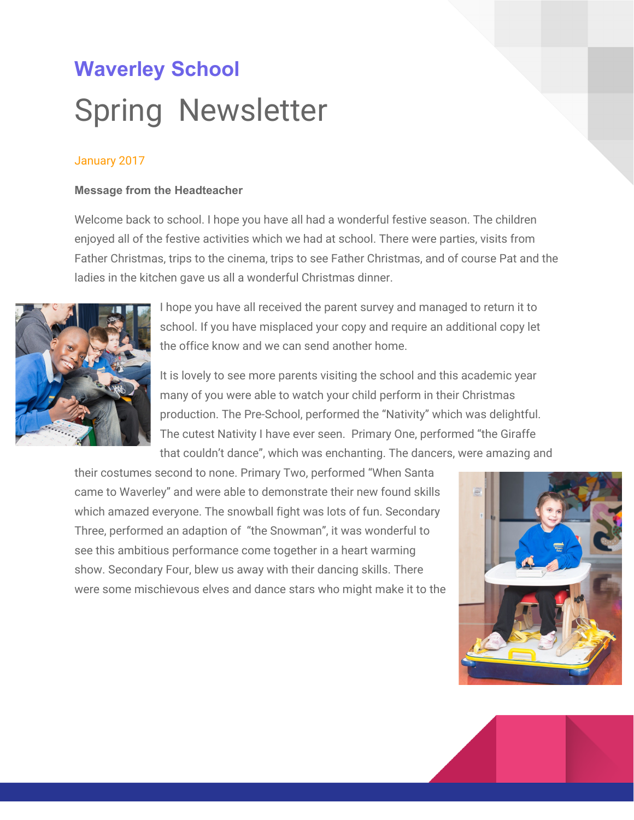appointment with Charlotte our Assistant Head or you can make an appointment to talk to me about anything! *Gail*

**School uniforms** : If you have any old Waverley uniforms which your child has outgrown, please send them in and we will be able to use them as spares.

#### **Assessment and Pupil Progress at Waverley**

Our pupils are assessed on a regular basis against the P Scales. Currently, our pupils' attainment is as follows:

Making above expected progress - 40% Making expected progress - 50% Making below expected progress - 10%

**This means that 90% of our pupils are making at least expected progress, which is outstanding**. Staff are working together with senior leaders and other professionals to ensure interventions are in place to support those pupils who are not making enough progress.

If you would like more information regarding assessment and pupil progress, please contact me. *Sandra Chaaya*

#### **Learning Matters**

Ĵ

As you are aware all our pupils have learning difficulties. These are very individualised and each pupil will learn at their own pace and be motivated by different approaches. One of the difficulties all our pupils have is with 'Generalisation'. This is the process whereby a person who learns something in one situation can apply that learning to another situation. An example is that when you learn to drive, you can drive any car, even though you may turn on the wipers rather than the indicators, you may have trouble with reverse .. but not for long. You are able to transfer your learning from one situation to another even if there are some hiccups.

When our pupils move class or have new staff we are more aware of those 'generalisation' difficulties. So a pupil who could hang up their coat independently last year may need to be taught those skills again in the new class -they might need to be shown their peg - the peg might be harder to use, because this skill has been mastered in one place the learning will not take long. Sometimes our pupils demonstrate a skill with just one person, so they will help put on their shoes with a regular familiar member of staff but not with a different person.

We know from Annual Review and EHC reviews and parents evening discussions that our pupils may well do things at school that they do not do at home and vice versa. A classic example of this is with independence and eating. It is a priority for us to enable the pupil to be as independent as possible with eating and drinking and pupils usually develop their

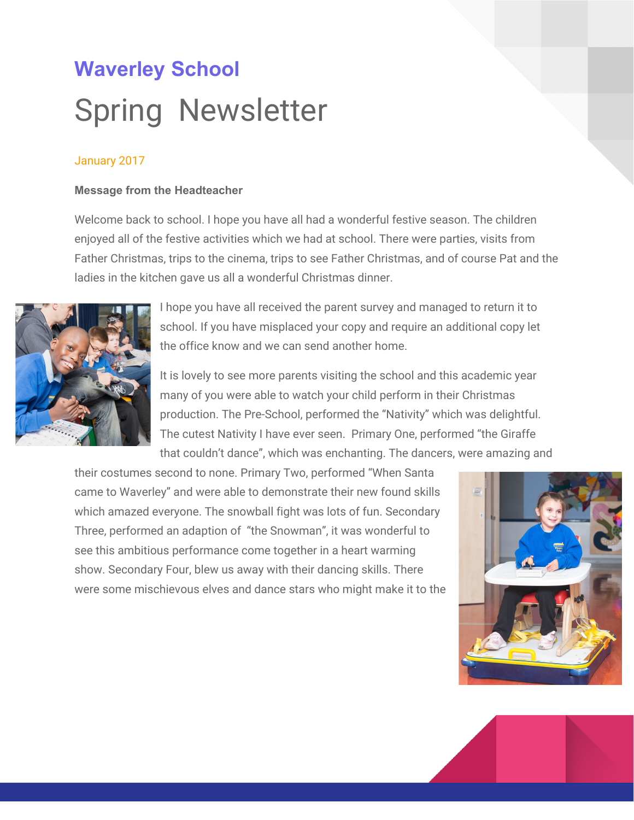skills slowly but significantly over time. We often hear that this learning is not transferred to home. A pupil may resist this at home, preferring to be fed as they have always been. There are many reasons for this; at home your child is used to being fed from infancy, as with all babies, but may not have that drive to become independent and take the spoon away from you, this is probably an enjoyable experience with guaranteed attention from Mum or Dad, it is practical in a busy house, and it is hard work and messy in the early stages. However the difference it can make to the dignity of our pupils and the enjoyment of their meal is huge.

By working together we can help our pupils to be their best at home and at school. To help them generalise their skills we need to give support, lots of opportunity, lots of practice, lots of praise. Start off with small steps and build up gradually -but keep those expectations high.

An example would be; when you drive another car you might initially turn on the wipers when you mean to turn on the indicators.

If you are interested to discuss issues arising from this please speak to your teacher or email me. [s.hogan@waverley-sch.co.uk](mailto:s.hogan@waverley-sch.co.uk) Á

### **Messages from the office**

#### **Dinner money**

Managing the school dinner money is very time consuming so we would appreciate your support in collecting school dinner money.

# **Cost**

£2.30 per day £11.50 per week If you could please pay a **term in advance** for school dinners it would be very helpful. Dinner money from:- 9th Jan 2017 - 10th Feb 2017 = £57.50 Dinner money from:- 20th Feb 2017 - 31st Mar 2017 = £69.00

If this is not possible to pay **in advance** can you pay weekly.

# **How to pay**

You can pay for dinner money online by parent pay or paypoint. If you need the office to order a paypoint card or a reminder for you parent pay password please text the office. **Reminder**

£10 debt to £25  $\cdot$  A reminder phone call/ text will be issued to all parents reminding them to top up account.

# **Free School Meals**

If you believe that you may qualify for entitlement to Free School Meals, please contact the office for more details.

# **School uniform**

Please see attached order form.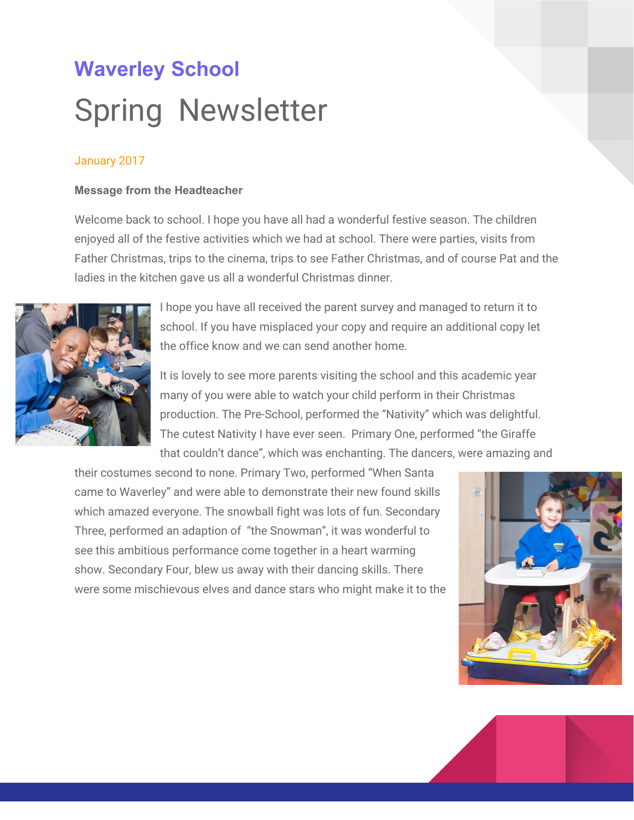#### **Workshops for Parents and carers**

We are running 3 workshops for parents this term. Thank you to those who have sent in replies to say you will attend. I look forward to working with you - Sue

Thursday 09/02/17 Objects of reference 10.30-12:00

Thursday 02/03/17 'More independence in feeding and drinking' 10.30-12.00

Thursday 23/03/17 iPads for leisure and learning 1..30-12.00

#### **School Governance**

Our Governors continue to support the school in a variety of ways. We will be holding this term's meeting over the next three weeks. If you would like to discuss anything with our governors, please ask the office to put you in touch with a parent governor.

#### **Staffing**

We'd like to welcome Sarah Hurrell to Waverley. Sarah is the new teacher in Hawthorn class.

#### **Safeguarding**

Waverley is committed to safeguarding and promoting the welfare of children and expects all staff and volunteers to share this commitment.

We have a number of policies and procedures in place that contribute to our safeguarding commitment, including the Child Protection policy which can be viewed in the policies section of our website.

Sometimes we may need to share information and work in partnership with other agencies when there are concerns about a child's welfare. We will ensure that our concerns about our pupils are discussed with his/her parents/carers first unless we have reason to believe that such a move would be contrary to the child's welfare.

We actively support the Government's Prevent Agenda to counter radicalism and extremism. Á Our Child Protection Liaison Officers (CPLO) are Gail Weir (Headteacher), Sandra Chayya ( Deputy Head), Sue Hogan ( Assistant Head), Charlotte Millward( Assistant Head - Pre-School Head of Centre)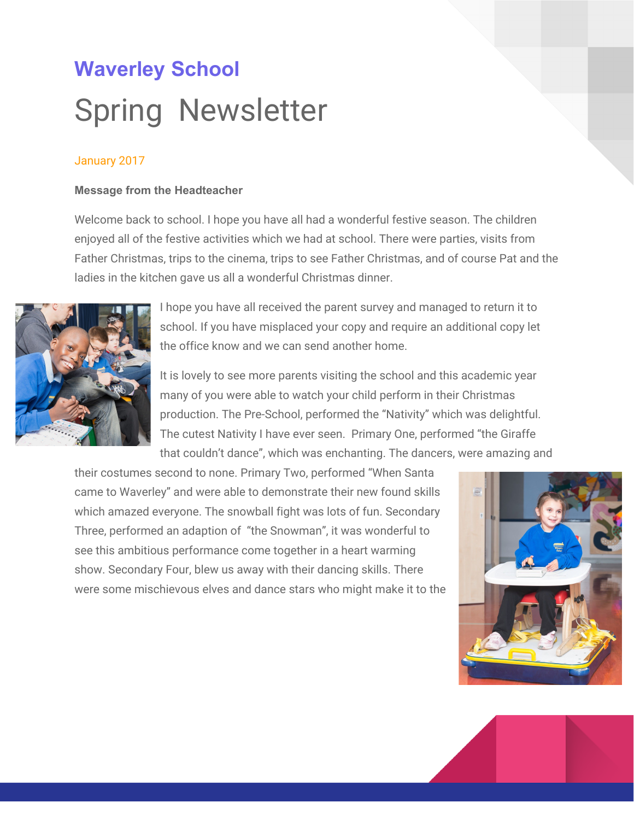#### **Parent Support**

Tina, is available for parent support on Monday and Tuesdays (Monday at Bell Lane and Tuesday at Waverley)

#### **Therapy updates**

Lauren our Occupational Therapist and Tina drove with parents and children to Surrey to receive their new bugzies. Two children have been given these motorised chairs on loan from Merc. It enables the children to travel around school without an adult pushing them. Look out when you are walking around school you might see some of the children whizzing by.





# from disabilities to possibilities

#### **WASP**

Waverley Association for Special People are always eager to hear your fundraising ideas. If you would like to make a donation you can do it through [http://uk.virginmoneygiving.com/charity-web/charity/waverl](http://uk.virginmoneygiving.com/charity-web/charity/waverely)ey

A big thank you on your behalf, to WASP who provided your child with gifts from Father Christmas

Angel Estate Letting contributed £750 towards of Christmas trips including our cinema trip.

Mr Scherer a friend of Mia's family ran the Berlin Marathon and raised £700 for Waverley. We'd like to thank him for all the effort and arduous training. We'll be holding our annual marathon at school this term. Look out for the date as we'd love to have some spectators this year.

If you are raising money for the school or if you have any fundraising ideas and would like us to advertise them here or on our website, let the office know.

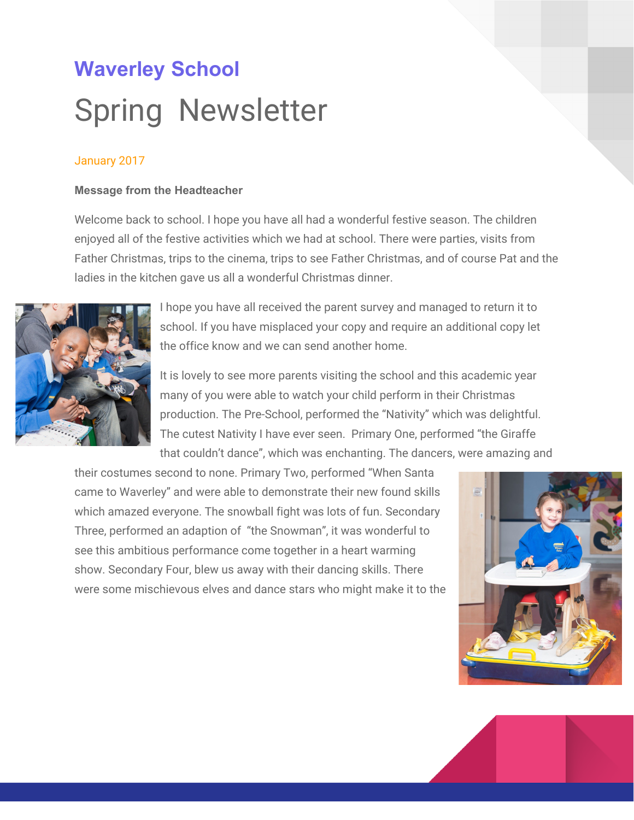# k MZ MXnl Mbnl

#### **Dates to remember**

**23rd January & 30th Jan** Makaton training **:** if you are interested please contact Lorraine Bennett

**27thJan , 24th Feb, 31st March** Podd practice for parents and carers. If your child uses a podd book and you would like to practice your skills come along to this informal practice session

**2nd March** World Book day, more details to follow

**13th March** Coffee morning, come and meet lots of parents who also have children with special needs.

**17th March** Waverley Marathon. Come and support our child as they complete a joint marathon to raise money for the school and our chosen charity, Motor Neurone Disease **Association** 

| <b>Spring Term 2017</b> | Thursday 5th Jan 2017 - Fri 31st March 2017                                |
|-------------------------|----------------------------------------------------------------------------|
| Half Term               | Monday 13 February 2017 - Friday 17th February 2017                        |
| Term Time               | Monday 20 <sup>th</sup> February 2017 - Friday 31 <sup>st</sup> March 2017 |

#### **24th March** Red Nose Day , more details to follow

| <b>Summer Term 2017</b> | Tuesday 18th April 2017 - Friday 21st July 2017                       |
|-------------------------|-----------------------------------------------------------------------|
| <b>Bank Holiday</b>     | Monday 1st May 2017                                                   |
| <b>Half Term</b>        | Monday 29th May 2017 - Friday 2nd June 2017                           |
| Term Time               | Tuesday 6 <sup>th</sup> June 2017 - Friday 21 <sup>st</sup> July 2017 |

| Inset days remaining | Monday 5 <sup>th</sup> June 2017 |
|----------------------|----------------------------------|